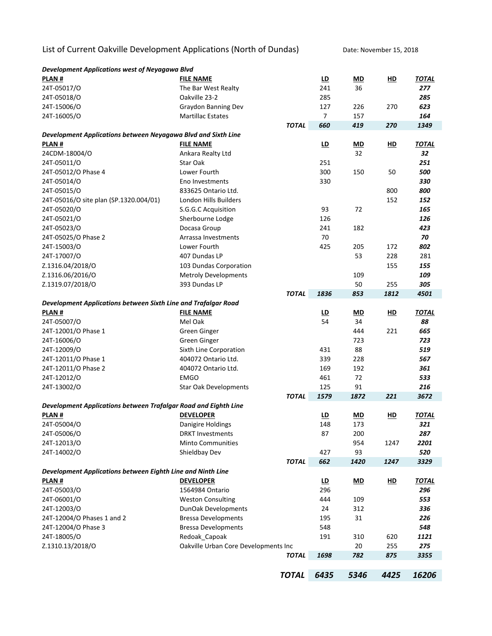List of Current Oakville Development Applications (North of Dundas) Date: November 15, 2018

| Development Applications west of Neyagawa Blvd                  |                                      |              |                |           |                |              |
|-----------------------------------------------------------------|--------------------------------------|--------------|----------------|-----------|----------------|--------------|
| PLAN#                                                           | <b>FILE NAME</b>                     |              | <u>LD</u>      | MD        | <u>HD</u>      | <u>TOTAL</u> |
| 24T-05017/O                                                     | The Bar West Realty                  |              | 241            | 36        |                | 277          |
| 24T-05018/O                                                     | Oakville 23-2                        |              | 285            |           |                | 285          |
| 24T-15006/O                                                     | Graydon Banning Dev                  |              | 127            | 226       | 270            | 623          |
| 24T-16005/O                                                     | <b>Martillac Estates</b>             |              | $\overline{7}$ | 157       |                | 164          |
|                                                                 |                                      | <b>TOTAL</b> | 660            | 419       | 270            | 1349         |
| Development Applications between Neyagawa Blvd and Sixth Line   |                                      |              |                |           |                |              |
| PLAN#                                                           | <b>FILE NAME</b>                     |              | <u>LD</u>      | MD        | HD             | <b>TOTAL</b> |
| 24CDM-18004/O                                                   | Ankara Realty Ltd                    |              |                | 32        |                | 32           |
| 24T-05011/O                                                     | <b>Star Oak</b>                      |              | 251            |           |                | 251          |
| 24T-05012/O Phase 4                                             | Lower Fourth                         |              | 300            | 150       | 50             | 500          |
| 24T-05014/O                                                     | Eno Investments                      |              | 330            |           |                | 330          |
| 24T-05015/O                                                     | 833625 Ontario Ltd.                  |              |                |           | 800            | 800          |
| 24T-05016/O site plan (SP.1320.004/01)                          | London Hills Builders                |              |                |           | 152            | 152          |
| 24T-05020/O                                                     | S.G.G.C Acquisition                  |              | 93             | 72        |                | 165          |
| 24T-05021/O                                                     | Sherbourne Lodge                     |              | 126            |           |                | 126          |
| 24T-05023/O                                                     | Docasa Group                         |              | 241            | 182       |                | 423          |
| 24T-05025/O Phase 2                                             | Arrassa Investments                  |              | 70             |           |                | 70           |
| 24T-15003/O                                                     | Lower Fourth                         |              | 425            | 205       | 172            | 802          |
| 24T-17007/O                                                     | 407 Dundas LP                        |              |                | 53        | 228            | 281          |
| Z.1316.04/2018/O                                                | 103 Dundas Corporation               |              |                |           | 155            | 155          |
| Z.1316.06/2016/O                                                | <b>Metroly Developments</b>          |              |                | 109       |                | 109          |
| Z.1319.07/2018/O                                                | 393 Dundas LP                        |              |                | 50        | 255            | 305          |
|                                                                 |                                      | <b>TOTAL</b> | 1836           | 853       | 1812           | 4501         |
| Development Applications between Sixth Line and Trafalgar Road  |                                      |              |                |           |                |              |
| PLAN#                                                           | <b>FILE NAME</b>                     |              | <u>LD</u>      | <u>MD</u> | H <sub>D</sub> | <b>TOTAL</b> |
| 24T-05007/O                                                     | Mel Oak                              |              | 54             | 34        |                | 88           |
| 24T-12001/O Phase 1                                             | <b>Green Ginger</b>                  |              |                | 444       | 221            | 665          |
| 24T-16006/O                                                     | <b>Green Ginger</b>                  |              |                | 723       |                | 723          |
| 24T-12009/O                                                     | Sixth Line Corporation               |              | 431            | 88        |                | 519          |
| 24T-12011/O Phase 1                                             | 404072 Ontario Ltd.                  |              | 339            | 228       |                | 567          |
| 24T-12011/O Phase 2                                             | 404072 Ontario Ltd.                  |              | 169            | 192       |                | 361          |
| 24T-12012/O                                                     | <b>EMGO</b>                          |              | 461            | 72        |                | 533          |
| 24T-13002/O                                                     | <b>Star Oak Developments</b>         |              | 125            | 91        |                | 216          |
|                                                                 |                                      | <b>TOTAL</b> | 1579           | 1872      | 221            | 3672         |
| Development Applications between Trafalgar Road and Eighth Line |                                      |              |                |           |                |              |
| <b>PLAN#</b>                                                    | <b>DEVELOPER</b>                     |              | <u>LD</u>      | <u>MD</u> | <u>HD</u>      | <b>TOTAL</b> |
| 24T-05004/O                                                     | Danigire Holdings                    |              | 148            | 173       |                | 321          |
| 24T-05006/O                                                     | <b>DRKT Investments</b>              |              | 87             | 200       |                | 287          |
| 24T-12013/O                                                     | <b>Minto Communities</b>             |              |                | 954       | 1247           | 2201         |
| 24T-14002/O                                                     | Shieldbay Dev                        |              | 427            | 93        |                | 520          |
|                                                                 |                                      | <b>TOTAL</b> | 662            | 1420      | 1247           | 3329         |
| Development Applications between Eighth Line and Ninth Line     |                                      |              |                |           |                |              |
| PLAN#                                                           | <b>DEVELOPER</b>                     |              | LD             | <u>MD</u> | HD             | <b>TOTAL</b> |
| 24T-05003/O                                                     | 1564984 Ontario                      |              | 296            |           |                | 296          |
| 24T-06001/O                                                     | <b>Weston Consulting</b>             |              | 444            | 109       |                | 553          |
| 24T-12003/O                                                     | DunOak Developments                  |              | 24             | 312       |                | 336          |
| 24T-12004/O Phases 1 and 2                                      | <b>Bressa Developments</b>           |              | 195            | 31        |                | 226          |
| 24T-12004/O Phase 3                                             | <b>Bressa Developments</b>           |              | 548            |           |                | 548          |
| 24T-18005/O                                                     | Redoak_Capoak                        |              | 191            | 310       | 620            | 1121         |
| Z.1310.13/2018/O                                                | Oakville Urban Core Developments Inc |              |                | 20        | 255            | 275          |
|                                                                 |                                      | <b>TOTAL</b> | 1698           | 782       | 875            | 3355         |
|                                                                 |                                      |              |                |           |                |              |
|                                                                 |                                      | <b>TOTAL</b> | 6435           | 5346      | 4425           | 16206        |